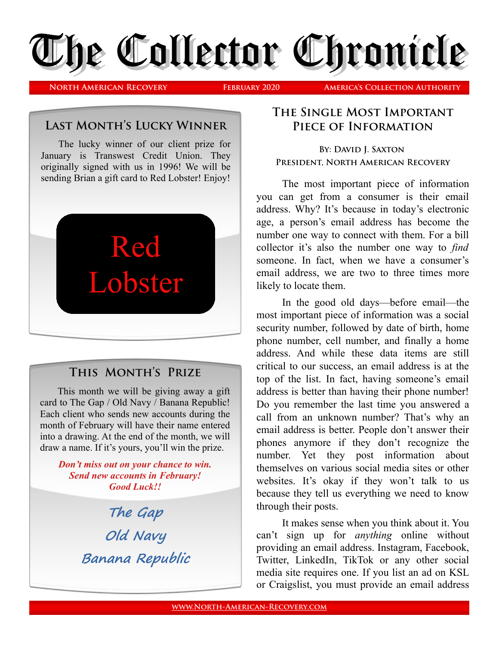

**North American Recovery February 2020 America's Collection Authority**

### **Last Month's Lucky Winner**

The lucky winner of our client prize for January is Transwest Credit Union. They originally signed with us in 1996! We will be sending Brian a gift card to Red Lobster! Enjoy!



# **This Month's Prize**

This month we will be giving away a gift card to The Gap / Old Navy / Banana Republic! Each client who sends new accounts during the month of February will have their name entered into a drawing. At the end of the month, we will draw a name. If it's yours, you'll win the prize.

### *Don't miss out on your chance to win. Send new accounts in February! Good Luck!!*

**The Gap Old Navy Banana Republic**

# **The Single Most Important Piece of Information**

**BY: DAVID I. SAXTON President, North American Recovery**

The most important piece of information you can get from a consumer is their email address. Why? It's because in today's electronic age, a person's email address has become the number one way to connect with them. For a bill collector it's also the number one way to *find* someone. In fact, when we have a consumer's email address, we are two to three times more likely to locate them.

In the good old days—before email—the most important piece of information was a social security number, followed by date of birth, home phone number, cell number, and finally a home address. And while these data items are still critical to our success, an email address is at the top of the list. In fact, having someone's email address is better than having their phone number! Do you remember the last time you answered a call from an unknown number? That's why an email address is better. People don't answer their phones anymore if they don't recognize the number. Yet they post information about themselves on various social media sites or other websites. It's okay if they won't talk to us because they tell us everything we need to know through their posts.

It makes sense when you think about it. You can't sign up for *anything* online without providing an email address. Instagram, Facebook, Twitter, LinkedIn, TikTok or any other social media site requires one. If you list an ad on KSL or Craigslist, you must provide an email address